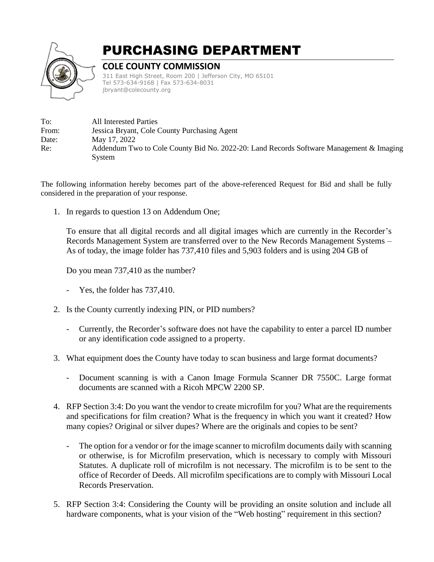

## PURCHASING DEPARTMENT

## **COLE COUNTY COMMISSION**

311 East High Street, Room 200 | Jefferson City, MO 65101 Tel 573-634-9168 | Fax 573-634-8031 jbryant@colecounty.org

| To:   | All Interested Parties                                                                  |
|-------|-----------------------------------------------------------------------------------------|
| From: | Jessica Bryant, Cole County Purchasing Agent                                            |
| Date: | May 17, 2022                                                                            |
| Re:   | Addendum Two to Cole County Bid No. 2022-20: Land Records Software Management & Imaging |
|       | System                                                                                  |

The following information hereby becomes part of the above-referenced Request for Bid and shall be fully considered in the preparation of your response.

1. In regards to question 13 on Addendum One;

To ensure that all digital records and all digital images which are currently in the Recorder's Records Management System are transferred over to the New Records Management Systems – As of today, the image folder has 737,410 files and 5,903 folders and is using 204 GB of

Do you mean 737,410 as the number?

- Yes, the folder has 737,410.
- 2. Is the County currently indexing PIN, or PID numbers?
	- Currently, the Recorder's software does not have the capability to enter a parcel ID number or any identification code assigned to a property.
- 3. What equipment does the County have today to scan business and large format documents?
	- Document scanning is with a Canon Image Formula Scanner DR 7550C. Large format documents are scanned with a Ricoh MPCW 2200 SP.
- 4. RFP Section 3:4: Do you want the vendor to create microfilm for you? What are the requirements and specifications for film creation? What is the frequency in which you want it created? How many copies? Original or silver dupes? Where are the originals and copies to be sent?
	- The option for a vendor or for the image scanner to microfilm documents daily with scanning or otherwise, is for Microfilm preservation, which is necessary to comply with Missouri Statutes. A duplicate roll of microfilm is not necessary. The microfilm is to be sent to the office of Recorder of Deeds. All microfilm specifications are to comply with Missouri Local Records Preservation.
- 5. RFP Section 3:4: Considering the County will be providing an onsite solution and include all hardware components, what is your vision of the "Web hosting" requirement in this section?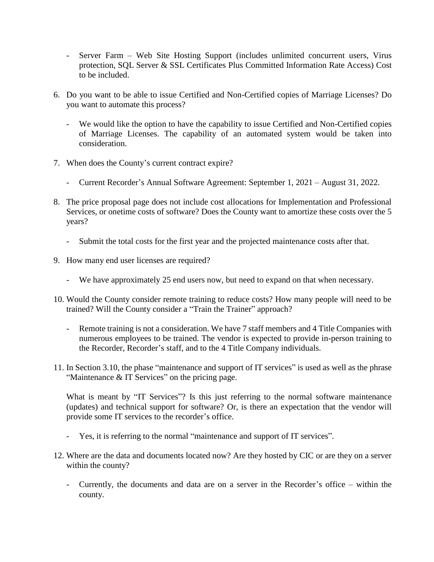- Server Farm Web Site Hosting Support (includes unlimited concurrent users, Virus protection, SQL Server & SSL Certificates Plus Committed Information Rate Access) Cost to be included.
- 6. Do you want to be able to issue Certified and Non-Certified copies of Marriage Licenses? Do you want to automate this process?
	- We would like the option to have the capability to issue Certified and Non-Certified copies of Marriage Licenses. The capability of an automated system would be taken into consideration.
- 7. When does the County's current contract expire?
	- Current Recorder's Annual Software Agreement: September 1, 2021 August 31, 2022.
- 8. The price proposal page does not include cost allocations for Implementation and Professional Services, or onetime costs of software? Does the County want to amortize these costs over the 5 years?
	- Submit the total costs for the first year and the projected maintenance costs after that.
- 9. How many end user licenses are required?
	- We have approximately 25 end users now, but need to expand on that when necessary.
- 10. Would the County consider remote training to reduce costs? How many people will need to be trained? Will the County consider a "Train the Trainer" approach?
	- Remote training is not a consideration. We have 7 staff members and 4 Title Companies with numerous employees to be trained. The vendor is expected to provide in-person training to the Recorder, Recorder's staff, and to the 4 Title Company individuals.
- 11. In Section 3.10, the phase "maintenance and support of IT services" is used as well as the phrase "Maintenance & IT Services" on the pricing page.

What is meant by "IT Services"? Is this just referring to the normal software maintenance (updates) and technical support for software? Or, is there an expectation that the vendor will provide some IT services to the recorder's office.

- Yes, it is referring to the normal "maintenance and support of IT services".
- 12. Where are the data and documents located now? Are they hosted by CIC or are they on a server within the county?
	- Currently, the documents and data are on a server in the Recorder's office within the county.